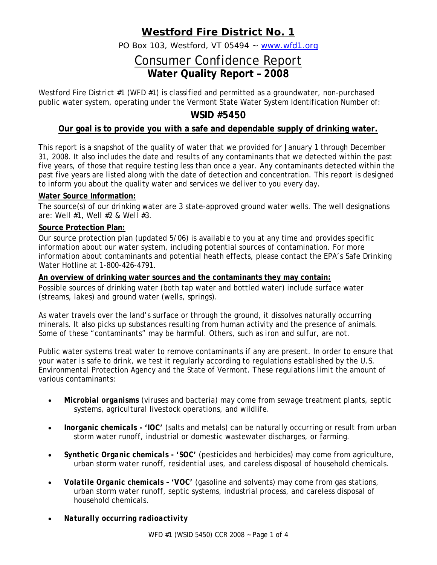## **Westford Fire District No. 1**

PO Box 103, Westford, VT 05494 ~ www.wfd1.org

# Consumer Confidence Report **Water Quality Report – 2008**

Westford Fire District #1 (WFD #1) is classified and permitted as a groundwater, non-purchased public water system, operating under the Vermont State Water System Identification Number of:

### **WSID #5450**

### **Our goal is to provide you with a safe and dependable supply of drinking water.**

This report is a snapshot of the quality of water that we provided for January 1 through December 31, 2008. It also includes the date and results of any contaminants that we detected within the past five years, of those that require testing less than once a year. Any contaminants detected within the past five years are listed along with the date of detection and concentration. This report is designed to inform you about the quality water and services we deliver to you every day.

#### **Water Source Information:**

The source(s) of our drinking water are 3 state-approved ground water wells. The well designations are: Well #1, Well #2 & Well #3.

#### **Source Protection Plan:**

Our source protection plan (updated 5/06) is available to you at any time and provides specific information about our water system, including potential sources of contamination. For more information about contaminants and potential heath effects, please contact the EPA's Safe Drinking Water Hotline at 1-800-426-4791.

#### **An overview of drinking water sources and the contaminants they may contain:**

Possible sources of drinking water (both tap water and bottled water) include surface water (streams, lakes) and ground water (wells, springs).

As water travels over the land's surface or through the ground, it dissolves naturally occurring minerals. It also picks up substances resulting from human activity and the presence of animals. Some of these "contaminants" may be harmful. Others, such as iron and sulfur, are not.

Public water systems treat water to remove contaminants if any are present. In order to ensure that your water is safe to drink, we test it regularly according to regulations established by the U.S. Environmental Protection Agency and the State of Vermont. These regulations limit the amount of various contaminants:

- *Microbial organisms* (viruses and bacteria) may come from sewage treatment plants, septic systems, agricultural livestock operations, and wildlife.
- *Inorganic chemicals 'IOC'* (salts and metals) can be naturally occurring or result from urban storm water runoff, industrial or domestic wastewater discharges, or farming.
- *Synthetic Organic chemicals 'SOC'* (pesticides and herbicides) may come from agriculture, urban storm water runoff, residential uses, and careless disposal of household chemicals.
- *Volatile Organic chemicals 'VOC'* (gasoline and solvents) may come from gas stations, urban storm water runoff, septic systems, industrial process, and careless disposal of household chemicals.
- *Naturally occurring radioactivity*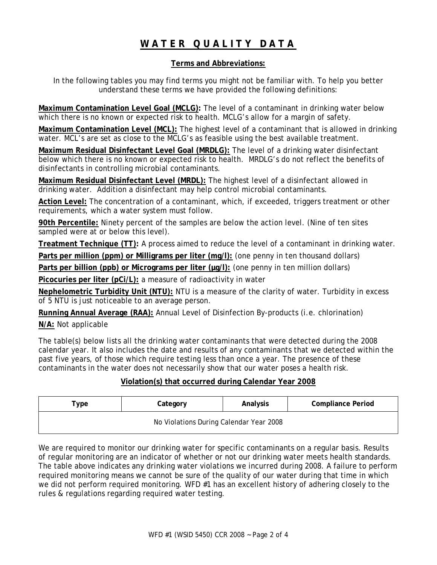# **WATER QUALITY DATA**

#### **Terms and Abbreviations:**

In the following tables you may find terms you might not be familiar with. To help you better understand these terms we have provided the following definitions:

**Maximum Contamination Level Goal (MCLG):** The level of a contaminant in drinking water below which there is no known or expected risk to health. MCLG's allow for a margin of safety.

**Maximum Contamination Level (MCL):** The highest level of a contaminant that is allowed in drinking water. MCL's are set as close to the MCLG's as feasible using the best available treatment.

**Maximum Residual Disinfectant Level Goal (MRDLG):** The level of a drinking water disinfectant below which there is no known or expected risk to health. MRDLG's do not reflect the benefits of disinfectants in controlling microbial contaminants.

**Maximum Residual Disinfectant Level (MRDL):** The highest level of a disinfectant allowed in drinking water. Addition a disinfectant may help control microbial contaminants.

**Action Level:** The concentration of a contaminant, which, if exceeded, triggers treatment or other requirements, which a water system must follow.

**90th Percentile:** Ninety percent of the samples are below the action level. (Nine of ten sites sampled were at or below this level).

**Treatment Technique (TT):** A process aimed to reduce the level of a contaminant in drinking water.

**Parts per million (ppm) or Milligrams per liter (mg/l):** (one penny in ten thousand dollars)

Parts per billion (ppb) or Micrograms per liter ( $\mu$ g/l): (one penny in ten million dollars)

**Picocuries per liter (pCi/L):** a measure of radioactivity in water

**Nephelometric Turbidity Unit (NTU):** NTU is a measure of the clarity of water. Turbidity in excess of 5 NTU is just noticeable to an average person.

**Running Annual Average (RAA):** Annual Level of Disinfection By-products (i.e. chlorination)

**N/A:** Not applicable

The table(s) below lists all the drinking water contaminants that were detected during the 2008 calendar year. It also includes the date and results of any contaminants that we detected within the past five years, of those which require testing less than once a year. The presence of these contaminants in the water does not necessarily show that our water poses a health risk.

#### **Violation(s) that occurred during Calendar Year 2008**

| <b>Compliance Period</b><br>Analysis<br>Category<br>туре |  |  |  |  |  |  |  |  |  |
|----------------------------------------------------------|--|--|--|--|--|--|--|--|--|
| No Violations During Calendar Year 2008                  |  |  |  |  |  |  |  |  |  |

We are required to monitor our drinking water for specific contaminants on a regular basis. Results of regular monitoring are an indicator of whether or not our drinking water meets health standards. The table above indicates any drinking water violations we incurred during 2008. A failure to perform required monitoring means we cannot be sure of the quality of our water during that time in which we did not perform required monitoring. WFD #1 has an excellent history of adhering closely to the rules & regulations regarding required water testing.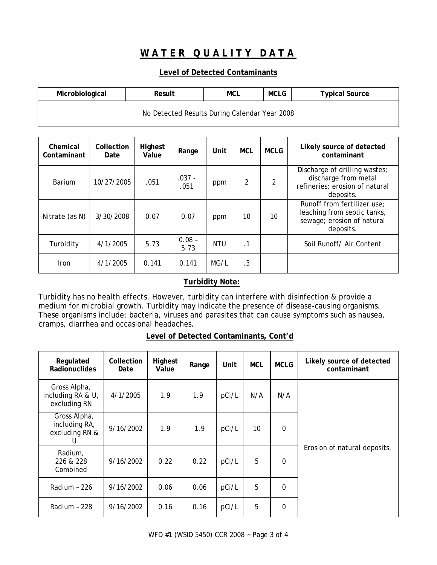### **WATER QUALITY DATA**

#### **Level of Detected Contaminants**

| <b>MCLG</b><br>Microbiological<br>MCL<br>Result<br><b>Typical Source</b> |  |  |  |  |  |  |  |  |
|--------------------------------------------------------------------------|--|--|--|--|--|--|--|--|
| No Detected Results During Calendar Year 2008                            |  |  |  |  |  |  |  |  |

| Chemical<br>Contaminant | Collection<br>Date | Highest<br>Value | Range            | Unit | <b>MCL</b>     | <b>MCLG</b> | Likely source of detected<br>contaminant                                                              |
|-------------------------|--------------------|------------------|------------------|------|----------------|-------------|-------------------------------------------------------------------------------------------------------|
| Barium                  | 10/27/2005         | .051             | $.037 -$<br>.051 | ppm  | $\overline{2}$ | 2           | Discharge of drilling wastes;<br>discharge from metal<br>refineries; erosion of natural<br>deposits.  |
| Nitrate (as N)          | 3/30/2008          | 0.07             | 0.07             | ppm  | 10             | 10          | Runoff from fertilizer use;<br>leaching from septic tanks,<br>sewage; erosion of natural<br>deposits. |
| Turbidity               | 4/1/2005           | 5.73             | $0.08 -$<br>5.73 | NTU  | $\cdot$ 1      |             | Soil Runoff/ Air Content                                                                              |
| <b>Iron</b>             | 4/1/2005           | 0.141            | 0.141            | MG/L | .3             |             |                                                                                                       |

#### **Turbidity Note:**

Turbidity has no health effects. However, turbidity can interfere with disinfection & provide a medium for microbial growth. Turbidity may indicate the presence of disease-causing organisms. These organisms include: bacteria, viruses and parasites that can cause symptoms such as nausea, cramps, diarrhea and occasional headaches.

| Level of Detected Contaminants, Cont'd |
|----------------------------------------|
|----------------------------------------|

| Regulated<br><b>Radionuclides</b>                    | Collection<br>Date | Highest<br>Value | Range | Unit  | <b>MCL</b> | <b>MCLG</b> | Likely source of detected<br>contaminant |
|------------------------------------------------------|--------------------|------------------|-------|-------|------------|-------------|------------------------------------------|
| Gross Alpha,<br>including RA & U,<br>excluding RN    | 4/1/2005           | 1.9              | 1.9   | pCi/L | N/A        | N/A         |                                          |
| Gross Alpha,<br>including RA,<br>excluding RN &<br>U | 9/16/2002          | 1.9              | 1.9   | pCi/L | 10         | $\mathbf 0$ |                                          |
| Radium,<br>226 & 228<br>Combined                     | 9/16/2002          | 0.22             | 0.22  | pCi/L | 5          | $\mathbf 0$ | Erosion of natural deposits.             |
| Radium - 226                                         | 9/16/2002          | 0.06             | 0.06  | pCi/L | 5          | 0           |                                          |
| Radium - 228                                         | 9/16/2002          | 0.16             | 0.16  | pCi/L | 5          | 0           |                                          |